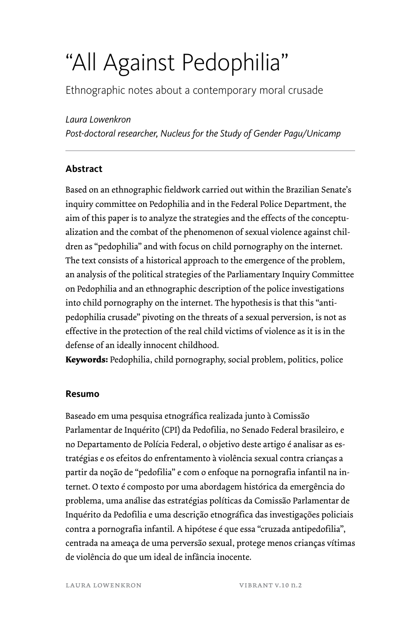# "All Against Pedophilia"

Ethnographic notes about a contemporary moral crusade

#### *Laura Lowenkron*

*Post-doctoral researcher, Nucleus for the Study of Gender Pagu/Unicamp*

## **Abstract**

Based on an ethnographic fieldwork carried out within the Brazilian Senate's inquiry committee on Pedophilia and in the Federal Police Department, the aim of this paper is to analyze the strategies and the effects of the conceptualization and the combat of the phenomenon of sexual violence against children as "pedophilia" and with focus on child pornography on the internet. The text consists of a historical approach to the emergence of the problem, an analysis of the political strategies of the Parliamentary Inquiry Committee on Pedophilia and an ethnographic description of the police investigations into child pornography on the internet. The hypothesis is that this "antipedophilia crusade" pivoting on the threats of a sexual perversion, is not as effective in the protection of the real child victims of violence as it is in the defense of an ideally innocent childhood.

**Keywords:** Pedophilia, child pornography, social problem, politics, police

### **Resumo**

Baseado em uma pesquisa etnográfica realizada junto à Comissão Parlamentar de Inquérito (CPI) da Pedofilia, no Senado Federal brasileiro, e no Departamento de Polícia Federal, o objetivo deste artigo é analisar as estratégias e os efeitos do enfrentamento à violência sexual contra crianças a partir da noção de "pedofilia" e com o enfoque na pornografia infantil na internet. O texto é composto por uma abordagem histórica da emergência do problema, uma análise das estratégias políticas da Comissão Parlamentar de Inquérito da Pedofilia e uma descrição etnográfica das investigações policiais contra a pornografia infantil. A hipótese é que essa "cruzada antipedofilia", centrada na ameaça de uma perversão sexual, protege menos crianças vítimas de violência do que um ideal de infância inocente.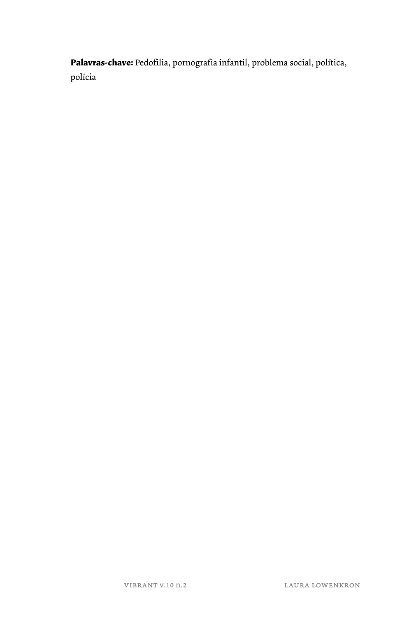**Palavras-chave:** Pedofilia, pornografia infantil, problema social, política, polícia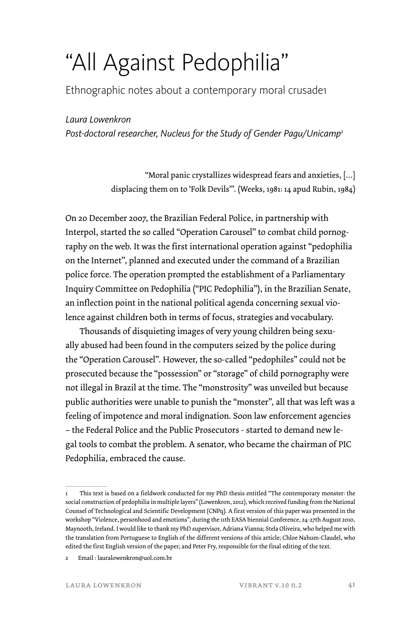## "All Against Pedophilia"

Ethnographic notes about a contemporary moral crusade1

*Laura Lowenkron*

*Post-doctoral researcher, Nucleus for the Study of Gender Pagu/Unicamp2*

"Moral panic crystallizes widespread fears and anxieties, […] displacing them on to 'Folk Devils'". (Weeks, 1981: 14 apud Rubin, 1984)

On 20 December 2007, the Brazilian Federal Police, in partnership with Interpol, started the so called "Operation Carousel" to combat child pornography on the web. It was the first international operation against "pedophilia on the Internet", planned and executed under the command of a Brazilian police force. The operation prompted the establishment of a Parliamentary Inquiry Committee on Pedophilia ("PIC Pedophilia"), in the Brazilian Senate, an inflection point in the national political agenda concerning sexual violence against children both in terms of focus, strategies and vocabulary.

Thousands of disquieting images of very young children being sexually abused had been found in the computers seized by the police during the "Operation Carousel". However, the so-called "pedophiles" could not be prosecuted because the "possession" or "storage" of child pornography were not illegal in Brazil at the time. The "monstrosity" was unveiled but because public authorities were unable to punish the "monster", all that was left was a feeling of impotence and moral indignation. Soon law enforcement agencies – the Federal Police and the Public Prosecutors - started to demand new legal tools to combat the problem. A senator, who became the chairman of PIC Pedophilia, embraced the cause.

<sup>1</sup> This text is based on a fieldwork conducted for my PhD thesis entitled "The contemporary monster: the social construction of pedophilia in multiple layers" (Lowenkron, 2012), which received funding from the National Counsel of Technological and Scientific Development (CNPq). A first version of this paper was presented in the workshop "Violence, personhood and emotions", during the 11th EASA biennial Conference, 24-27th August 2010, Maynooth, Ireland. I would like to thank my PhD supervisor, Adriana Vianna; Stela Oliveira, who helped me with the translation from Portuguese to English of the different versions of this article; Chloe Nahum-Claudel, who edited the first English version of the paper; and Peter Fry, responsible for the final editing of the text.

<sup>2</sup> Email : lauralowenkron@uol.com.br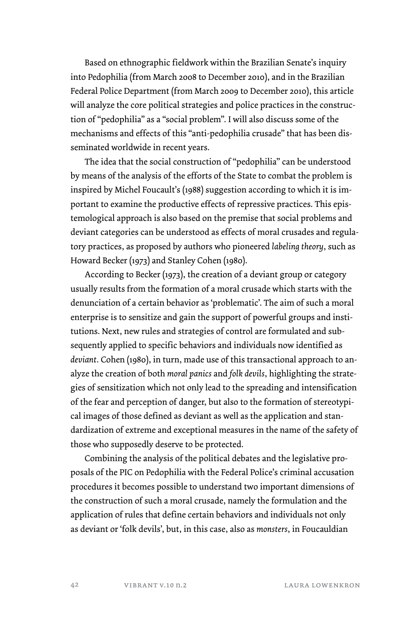Based on ethnographic fieldwork within the Brazilian Senate's inquiry into Pedophilia (from March 2008 to December 2010), and in the Brazilian Federal Police Department (from March 2009 to December 2010), this article will analyze the core political strategies and police practices in the construction of "pedophilia" as a "social problem". I will also discuss some of the mechanisms and effects of this "anti-pedophilia crusade" that has been disseminated worldwide in recent years.

The idea that the social construction of "pedophilia" can be understood by means of the analysis of the efforts of the State to combat the problem is inspired by Michel Foucault's (1988) suggestion according to which it is important to examine the productive effects of repressive practices. This epistemological approach is also based on the premise that social problems and deviant categories can be understood as effects of moral crusades and regulatory practices, as proposed by authors who pioneered *labeling theory*, such as Howard Becker (1973) and Stanley Cohen (1980).

According to Becker (1973), the creation of a deviant group or category usually results from the formation of a moral crusade which starts with the denunciation of a certain behavior as 'problematic'. The aim of such a moral enterprise is to sensitize and gain the support of powerful groups and institutions. Next, new rules and strategies of control are formulated and subsequently applied to specific behaviors and individuals now identified as *deviant*. Cohen (1980), in turn, made use of this transactional approach to analyze the creation of both *moral panics* and *folk devils*, highlighting the strategies of sensitization which not only lead to the spreading and intensification of the fear and perception of danger, but also to the formation of stereotypical images of those defined as deviant as well as the application and standardization of extreme and exceptional measures in the name of the safety of those who supposedly deserve to be protected.

Combining the analysis of the political debates and the legislative proposals of the PIC on Pedophilia with the Federal Police's criminal accusation procedures it becomes possible to understand two important dimensions of the construction of such a moral crusade, namely the formulation and the application of rules that define certain behaviors and individuals not only as deviant or 'folk devils', but, in this case, also as *monsters*, in Foucauldian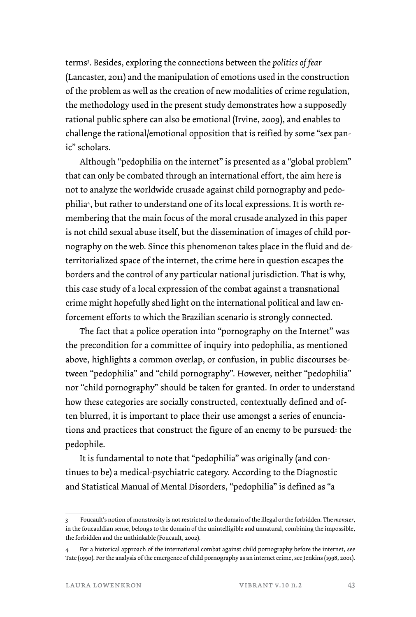terms3 . Besides, exploring the connections between the *politics of fear* (Lancaster, 2011) and the manipulation of emotions used in the construction of the problem as well as the creation of new modalities of crime regulation, the methodology used in the present study demonstrates how a supposedly rational public sphere can also be emotional (Irvine, 2009), and enables to challenge the rational/emotional opposition that is reified by some "sex panic" scholars.

Although "pedophilia on the internet" is presented as a "global problem" that can only be combated through an international effort, the aim here is not to analyze the worldwide crusade against child pornography and pedophilia4 , but rather to understand one of its local expressions. It is worth remembering that the main focus of the moral crusade analyzed in this paper is not child sexual abuse itself, but the dissemination of images of child pornography on the web. Since this phenomenon takes place in the fluid and deterritorialized space of the internet, the crime here in question escapes the borders and the control of any particular national jurisdiction. That is why, this case study of a local expression of the combat against a transnational crime might hopefully shed light on the international political and law enforcement efforts to which the Brazilian scenario is strongly connected.

The fact that a police operation into "pornography on the Internet" was the precondition for a committee of inquiry into pedophilia, as mentioned above, highlights a common overlap, or confusion, in public discourses between "pedophilia" and "child pornography". However, neither "pedophilia" nor "child pornography" should be taken for granted. In order to understand how these categories are socially constructed, contextually defined and often blurred, it is important to place their use amongst a series of enunciations and practices that construct the figure of an enemy to be pursued: the pedophile.

It is fundamental to note that "pedophilia" was originally (and continues to be) a medical-psychiatric category. According to the Diagnostic and Statistical Manual of Mental Disorders, "pedophilia" is defined as "a

<sup>3</sup> Foucault's notion of monstrosity is not restricted to the domain of the illegal or the forbidden. The *monster*, in the foucauldian sense, belongs to the domain of the unintelligible and unnatural, combining the impossible, the forbidden and the unthinkable (Foucault, 2002).

<sup>4</sup> For a historical approach of the international combat against child pornography before the internet, see Tate (1990). For the analysis of the emergence of child pornography as an internet crime, see Jenkins (1998, 2001).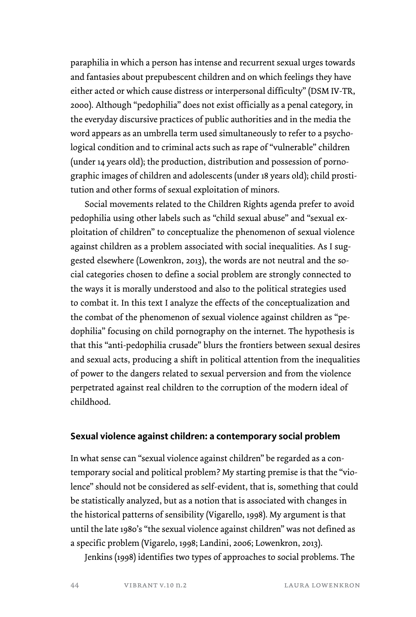paraphilia in which a person has intense and recurrent sexual urges towards and fantasies about prepubescent children and on which feelings they have either acted or which cause distress or interpersonal difficulty" (DSM IV-TR, 2000). Although "pedophilia" does not exist officially as a penal category, in the everyday discursive practices of public authorities and in the media the word appears as an umbrella term used simultaneously to refer to a psychological condition and to criminal acts such as rape of "vulnerable" children (under 14 years old); the production, distribution and possession of pornographic images of children and adolescents (under 18 years old); child prostitution and other forms of sexual exploitation of minors.

Social movements related to the Children Rights agenda prefer to avoid pedophilia using other labels such as "child sexual abuse" and "sexual exploitation of children" to conceptualize the phenomenon of sexual violence against children as a problem associated with social inequalities. As I suggested elsewhere (Lowenkron, 2013), the words are not neutral and the social categories chosen to define a social problem are strongly connected to the ways it is morally understood and also to the political strategies used to combat it. In this text I analyze the effects of the conceptualization and the combat of the phenomenon of sexual violence against children as "pedophilia" focusing on child pornography on the internet. The hypothesis is that this "anti-pedophilia crusade" blurs the frontiers between sexual desires and sexual acts, producing a shift in political attention from the inequalities of power to the dangers related to sexual perversion and from the violence perpetrated against real children to the corruption of the modern ideal of childhood.

#### **Sexual violence against children: a contemporary social problem**

In what sense can "sexual violence against children" be regarded as a contemporary social and political problem? My starting premise is that the "violence" should not be considered as self-evident, that is, something that could be statistically analyzed, but as a notion that is associated with changes in the historical patterns of sensibility (Vigarello, 1998). My argument is that until the late 1980's "the sexual violence against children" was not defined as a specific problem (Vigarelo, 1998; Landini, 2006; Lowenkron, 2013).

Jenkins (1998) identifies two types of approaches to social problems. The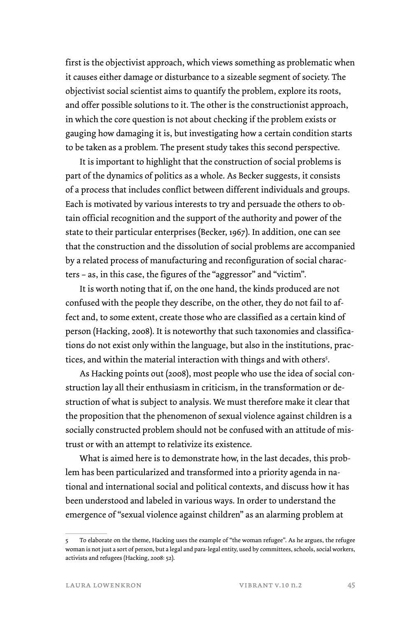first is the objectivist approach, which views something as problematic when it causes either damage or disturbance to a sizeable segment of society. The objectivist social scientist aims to quantify the problem, explore its roots, and offer possible solutions to it. The other is the constructionist approach, in which the core question is not about checking if the problem exists or gauging how damaging it is, but investigating how a certain condition starts to be taken as a problem. The present study takes this second perspective.

It is important to highlight that the construction of social problems is part of the dynamics of politics as a whole. As Becker suggests, it consists of a process that includes conflict between different individuals and groups. Each is motivated by various interests to try and persuade the others to obtain official recognition and the support of the authority and power of the state to their particular enterprises (Becker, 1967). In addition, one can see that the construction and the dissolution of social problems are accompanied by a related process of manufacturing and reconfiguration of social characters – as, in this case, the figures of the "aggressor" and "victim".

It is worth noting that if, on the one hand, the kinds produced are not confused with the people they describe, on the other, they do not fail to affect and, to some extent, create those who are classified as a certain kind of person (Hacking, 2008). It is noteworthy that such taxonomies and classifications do not exist only within the language, but also in the institutions, practices, and within the material interaction with things and with others<sup>5</sup>.

As Hacking points out (2008), most people who use the idea of social construction lay all their enthusiasm in criticism, in the transformation or destruction of what is subject to analysis. We must therefore make it clear that the proposition that the phenomenon of sexual violence against children is a socially constructed problem should not be confused with an attitude of mistrust or with an attempt to relativize its existence.

What is aimed here is to demonstrate how, in the last decades, this problem has been particularized and transformed into a priority agenda in national and international social and political contexts, and discuss how it has been understood and labeled in various ways. In order to understand the emergence of "sexual violence against children" as an alarming problem at

<sup>5</sup> To elaborate on the theme, Hacking uses the example of "the woman refugee". As he argues, the refugee woman is not just a sort of person, but a legal and para-legal entity, used by committees, schools, social workers, activists and refugees (Hacking, 2008: 52).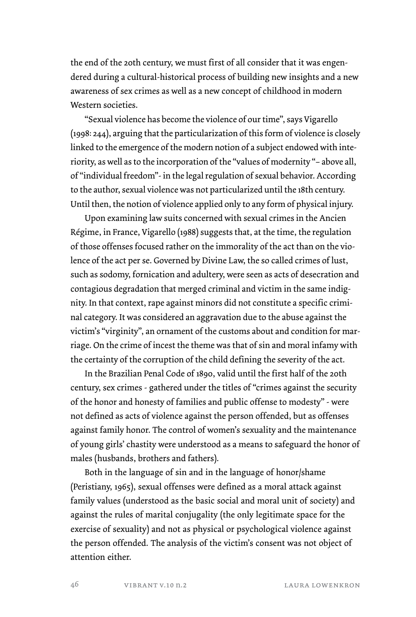the end of the 20th century, we must first of all consider that it was engendered during a cultural-historical process of building new insights and a new awareness of sex crimes as well as a new concept of childhood in modern Western societies.

"Sexual violence has become the violence of our time", says Vigarello (1998: 244), arguing that the particularization of this form of violence is closely linked to the emergence of the modern notion of a subject endowed with interiority, as well as to the incorporation of the "values of modernity "– above all, of "individual freedom"- in the legal regulation of sexual behavior. According to the author, sexual violence was not particularized until the 18th century. Until then, the notion of violence applied only to any form of physical injury.

Upon examining law suits concerned with sexual crimes in the Ancien Régime, in France, Vigarello (1988) suggests that, at the time, the regulation of those offenses focused rather on the immorality of the act than on the violence of the act per se. Governed by Divine Law, the so called crimes of lust, such as sodomy, fornication and adultery, were seen as acts of desecration and contagious degradation that merged criminal and victim in the same indignity. In that context, rape against minors did not constitute a specific criminal category. It was considered an aggravation due to the abuse against the victim's "virginity", an ornament of the customs about and condition for marriage. On the crime of incest the theme was that of sin and moral infamy with the certainty of the corruption of the child defining the severity of the act.

In the Brazilian Penal Code of 1890, valid until the first half of the 20th century, sex crimes - gathered under the titles of "crimes against the security of the honor and honesty of families and public offense to modesty" - were not defined as acts of violence against the person offended, but as offenses against family honor. The control of women's sexuality and the maintenance of young girls' chastity were understood as a means to safeguard the honor of males (husbands, brothers and fathers).

Both in the language of sin and in the language of honor/shame (Peristiany, 1965), sexual offenses were defined as a moral attack against family values (understood as the basic social and moral unit of society) and against the rules of marital conjugality (the only legitimate space for the exercise of sexuality) and not as physical or psychological violence against the person offended. The analysis of the victim's consent was not object of attention either.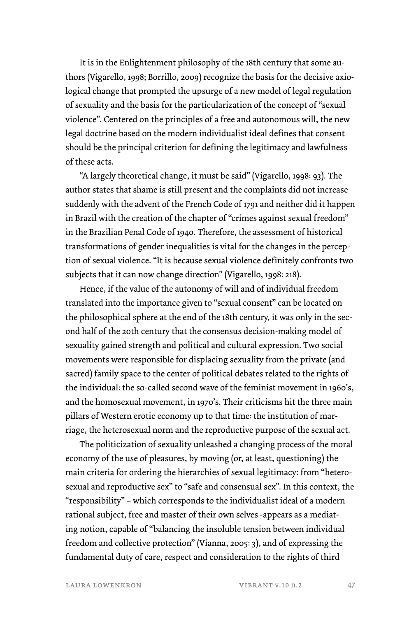It is in the Enlightenment philosophy of the 18th century that some authors (Vigarello, 1998; Borrillo, 2009) recognize the basis for the decisive axiological change that prompted the upsurge of a new model of legal regulation of sexuality and the basis for the particularization of the concept of "sexual violence". Centered on the principles of a free and autonomous will, the new legal doctrine based on the modern individualist ideal defines that consent should be the principal criterion for defining the legitimacy and lawfulness of these acts.

"A largely theoretical change, it must be said" (Vigarello, 1998: 93). The author states that shame is still present and the complaints did not increase suddenly with the advent of the French Code of 1791 and neither did it happen in Brazil with the creation of the chapter of "crimes against sexual freedom" in the Brazilian Penal Code of 1940. Therefore, the assessment of historical transformations of gender inequalities is vital for the changes in the perception of sexual violence. "It is because sexual violence definitely confronts two subjects that it can now change direction" (Vigarello, 1998: 218).

Hence, if the value of the autonomy of will and of individual freedom translated into the importance given to "sexual consent" can be located on the philosophical sphere at the end of the 18th century, it was only in the second half of the 20th century that the consensus decision-making model of sexuality gained strength and political and cultural expression. Two social movements were responsible for displacing sexuality from the private (and sacred) family space to the center of political debates related to the rights of the individual: the so-called second wave of the feminist movement in 1960's, and the homosexual movement, in 1970's. Their criticisms hit the three main pillars of Western erotic economy up to that time: the institution of marriage, the heterosexual norm and the reproductive purpose of the sexual act.

The politicization of sexuality unleashed a changing process of the moral economy of the use of pleasures, by moving (or, at least, questioning) the main criteria for ordering the hierarchies of sexual legitimacy: from "heterosexual and reproductive sex" to "safe and consensual sex". In this context, the "responsibility" – which corresponds to the individualist ideal of a modern rational subject, free and master of their own selves -appears as a mediating notion, capable of "balancing the insoluble tension between individual freedom and collective protection" (Vianna, 2005: 3), and of expressing the fundamental duty of care, respect and consideration to the rights of third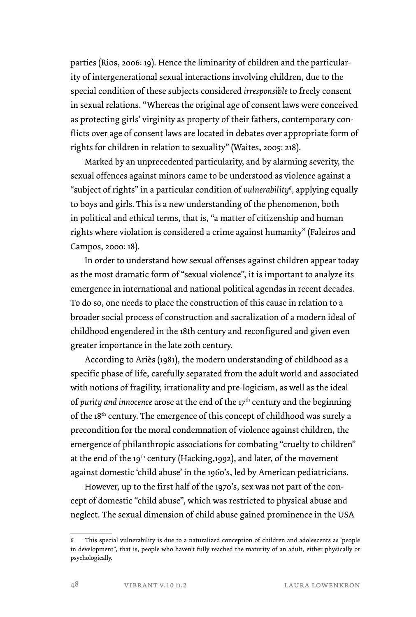parties (Rios, 2006: 19). Hence the liminarity of children and the particularity of intergenerational sexual interactions involving children, due to the special condition of these subjects considered *irresponsible* to freely consent in sexual relations. "Whereas the original age of consent laws were conceived as protecting girls' virginity as property of their fathers, contemporary conflicts over age of consent laws are located in debates over appropriate form of rights for children in relation to sexuality" (Waites, 2005: 218).

Marked by an unprecedented particularity, and by alarming severity, the sexual offences against minors came to be understood as violence against a "subject of rights" in a particular condition of *vulnerability*6, applying equally to boys and girls*.* This is a new understanding of the phenomenon, both in political and ethical terms, that is, "a matter of citizenship and human rights where violation is considered a crime against humanity" (Faleiros and Campos, 2000: 18).

In order to understand how sexual offenses against children appear today as the most dramatic form of "sexual violence", it is important to analyze its emergence in international and national political agendas in recent decades. To do so, one needs to place the construction of this cause in relation to a broader social process of construction and sacralization of a modern ideal of childhood engendered in the 18th century and reconfigured and given even greater importance in the late 20th century.

According to Ariès (1981), the modern understanding of childhood as a specific phase of life, carefully separated from the adult world and associated with notions of fragility, irrationality and pre-logicism, as well as the ideal of *purity and innocence* arose at the end of the 17<sup>th</sup> century and the beginning of the 18<sup>th</sup> century. The emergence of this concept of childhood was surely a precondition for the moral condemnation of violence against children, the emergence of philanthropic associations for combating "cruelty to children" at the end of the 19<sup>th</sup> century (Hacking,1992), and later, of the movement against domestic 'child abuse' in the 1960's, led by American pediatricians.

However, up to the first half of the 1970's, sex was not part of the concept of domestic "child abuse", which was restricted to physical abuse and neglect. The sexual dimension of child abuse gained prominence in the USA

This special vulnerability is due to a naturalized conception of children and adolescents as 'people in development", that is, people who haven't fully reached the maturity of an adult, either physically or psychologically.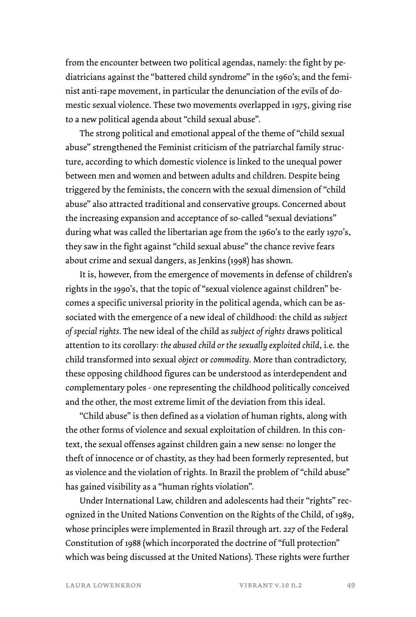from the encounter between two political agendas, namely: the fight by pediatricians against the "battered child syndrome" in the 1960's; and the feminist anti-rape movement, in particular the denunciation of the evils of domestic sexual violence. These two movements overlapped in 1975, giving rise to a new political agenda about "child sexual abuse".

The strong political and emotional appeal of the theme of "child sexual abuse" strengthened the Feminist criticism of the patriarchal family structure, according to which domestic violence is linked to the unequal power between men and women and between adults and children. Despite being triggered by the feminists, the concern with the sexual dimension of "child abuse" also attracted traditional and conservative groups. Concerned about the increasing expansion and acceptance of so-called "sexual deviations" during what was called the libertarian age from the 1960's to the early 1970's, they saw in the fight against "child sexual abuse" the chance revive fears about crime and sexual dangers, as Jenkins (1998) has shown.

It is, however, from the emergence of movements in defense of children's rights in the 1990's, that the topic of "sexual violence against children" becomes a specific universal priority in the political agenda, which can be associated with the emergence of a new ideal of childhood: the child as *subject of special rights.* The new ideal of the child as *subject of rights* draws political attention to its corollary: *the abused child or the sexually exploited child*, i.e. the child transformed into sexual *object* or *commodity*. More than contradictory, these opposing childhood figures can be understood as interdependent and complementary poles - one representing the childhood politically conceived and the other, the most extreme limit of the deviation from this ideal.

"Child abuse" is then defined as a violation of human rights, along with the other forms of violence and sexual exploitation of children. In this context, the sexual offenses against children gain a new sense: no longer the theft of innocence or of chastity, as they had been formerly represented, but as violence and the violation of rights. In Brazil the problem of "child abuse" has gained visibility as a "human rights violation".

Under International Law, children and adolescents had their "rights" recognized in the United Nations Convention on the Rights of the Child, of 1989, whose principles were implemented in Brazil through art. 227 of the Federal Constitution of 1988 (which incorporated the doctrine of "full protection" which was being discussed at the United Nations). These rights were further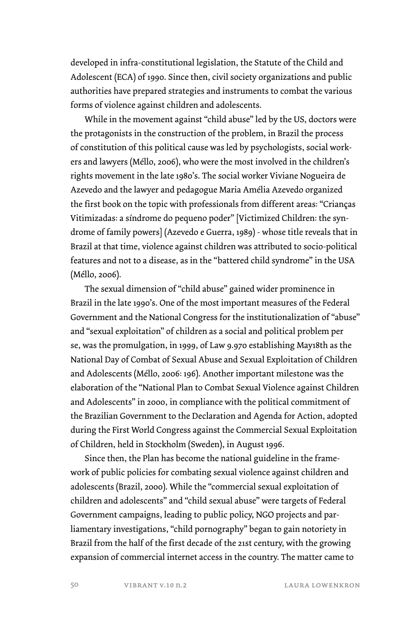developed in infra-constitutional legislation, the Statute of the Child and Adolescent (ECA) of 1990. Since then, civil society organizations and public authorities have prepared strategies and instruments to combat the various forms of violence against children and adolescents.

While in the movement against "child abuse" led by the US, doctors were the protagonists in the construction of the problem, in Brazil the process of constitution of this political cause was led by psychologists, social workers and lawyers (Méllo, 2006), who were the most involved in the children's rights movement in the late 1980's. The social worker Viviane Nogueira de Azevedo and the lawyer and pedagogue Maria Amélia Azevedo organized the first book on the topic with professionals from different areas: "Crianças Vitimizadas: a síndrome do pequeno poder" [Victimized Children: the syndrome of family powers] (Azevedo e Guerra, 1989) - whose title reveals that in Brazil at that time, violence against children was attributed to socio-political features and not to a disease, as in the "battered child syndrome" in the USA (Méllo, 2006).

The sexual dimension of "child abuse" gained wider prominence in Brazil in the late 1990's. One of the most important measures of the Federal Government and the National Congress for the institutionalization of "abuse" and "sexual exploitation" of children as a social and political problem per se, was the promulgation, in 1999, of Law 9.970 establishing May18th as the National Day of Combat of Sexual Abuse and Sexual Exploitation of Children and Adolescents (Méllo, 2006: 196). Another important milestone was the elaboration of the "National Plan to Combat Sexual Violence against Children and Adolescents" in 2000, in compliance with the political commitment of the Brazilian Government to the Declaration and Agenda for Action, adopted during the First World Congress against the Commercial Sexual Exploitation of Children, held in Stockholm (Sweden), in August 1996.

Since then, the Plan has become the national guideline in the framework of public policies for combating sexual violence against children and adolescents (Brazil, 2000). While the "commercial sexual exploitation of children and adolescents" and "child sexual abuse" were targets of Federal Government campaigns, leading to public policy, NGO projects and parliamentary investigations, "child pornography" began to gain notoriety in Brazil from the half of the first decade of the 21st century, with the growing expansion of commercial internet access in the country. The matter came to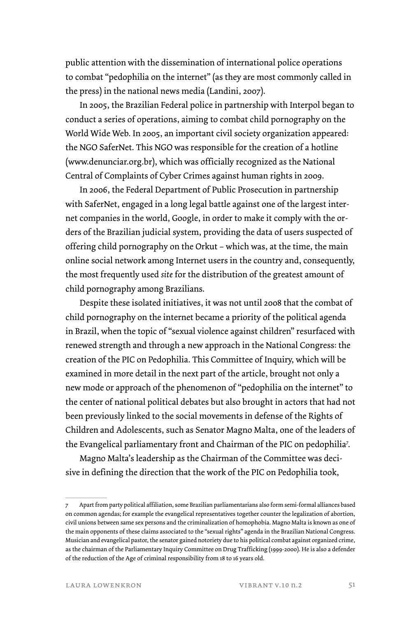public attention with the dissemination of international police operations to combat "pedophilia on the internet" (as they are most commonly called in the press) in the national news media (Landini, 2007).

In 2005, the Brazilian Federal police in partnership with Interpol began to conduct a series of operations, aiming to combat child pornography on the World Wide Web. In 2005, an important civil society organization appeared: the NGO SaferNet. This NGO was responsible for the creation of a hotline (www.denunciar.org.br), which was officially recognized as the National Central of Complaints of Cyber Crimes against human rights in 2009.

In 2006, the Federal Department of Public Prosecution in partnership with SaferNet, engaged in a long legal battle against one of the largest internet companies in the world, Google, in order to make it comply with the orders of the Brazilian judicial system, providing the data of users suspected of offering child pornography on the Orkut – which was, at the time, the main online social network among Internet users in the country and, consequently, the most frequently used *site* for the distribution of the greatest amount of child pornography among Brazilians.

Despite these isolated initiatives, it was not until 2008 that the combat of child pornography on the internet became a priority of the political agenda in Brazil, when the topic of "sexual violence against children" resurfaced with renewed strength and through a new approach in the National Congress: the creation of the PIC on Pedophilia. This Committee of Inquiry, which will be examined in more detail in the next part of the article, brought not only a new mode or approach of the phenomenon of "pedophilia on the internet" to the center of national political debates but also brought in actors that had not been previously linked to the social movements in defense of the Rights of Children and Adolescents, such as Senator Magno Malta, one of the leaders of the Evangelical parliamentary front and Chairman of the PIC on pedophilia7 .

Magno Malta's leadership as the Chairman of the Committee was decisive in defining the direction that the work of the PIC on Pedophilia took,

<sup>7</sup> Apart from party political affiliation, some Brazilian parliamentarians also form semi-formal alliances based on common agendas; for example the evangelical representatives together counter the legalization of abortion, civil unions between same sex persons and the criminalization of homophobia. Magno Malta is known as one of the main opponents of these claims associated to the "sexual rights" agenda in the Brazilian National Congress. Musician and evangelical pastor, the senator gained notoriety due to his political combat against organized crime, as the chairman of the Parliamentary Inquiry Committee on Drug Trafficking (1999-2000). He is also a defender of the reduction of the Age of criminal responsibility from 18 to 16 years old.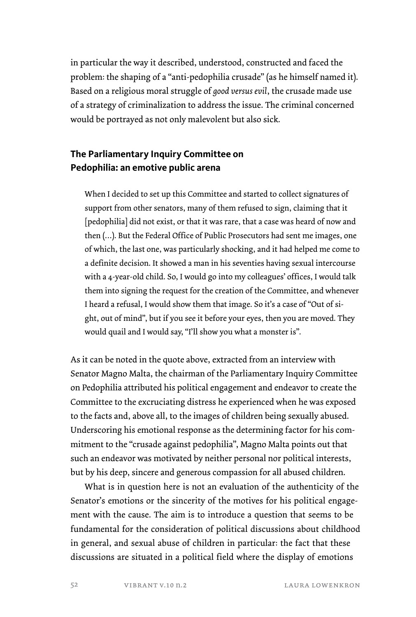in particular the way it described, understood, constructed and faced the problem: the shaping of a "anti-pedophilia crusade" (as he himself named it). Based on a religious moral struggle of *good versus evil*, the crusade made use of a strategy of criminalization to address the issue. The criminal concerned would be portrayed as not only malevolent but also sick.

## **The Parliamentary Inquiry Committee on Pedophilia: an emotive public arena**

When I decided to set up this Committee and started to collect signatures of support from other senators, many of them refused to sign, claiming that it [pedophilia] did not exist, or that it was rare, that a case was heard of now and then (…). But the Federal Office of Public Prosecutors had sent me images, one of which, the last one, was particularly shocking, and it had helped me come to a definite decision. It showed a man in his seventies having sexual intercourse with a 4-year-old child. So, I would go into my colleagues' offices, I would talk them into signing the request for the creation of the Committee, and whenever I heard a refusal, I would show them that image. So it's a case of "Out of sight, out of mind", but if you see it before your eyes, then you are moved. They would quail and I would say, "I'll show you what a monster is".

As it can be noted in the quote above, extracted from an interview with Senator Magno Malta, the chairman of the Parliamentary Inquiry Committee on Pedophilia attributed his political engagement and endeavor to create the Committee to the excruciating distress he experienced when he was exposed to the facts and, above all, to the images of children being sexually abused. Underscoring his emotional response as the determining factor for his commitment to the "crusade against pedophilia", Magno Malta points out that such an endeavor was motivated by neither personal nor political interests, but by his deep, sincere and generous compassion for all abused children.

What is in question here is not an evaluation of the authenticity of the Senator's emotions or the sincerity of the motives for his political engagement with the cause. The aim is to introduce a question that seems to be fundamental for the consideration of political discussions about childhood in general, and sexual abuse of children in particular: the fact that these discussions are situated in a political field where the display of emotions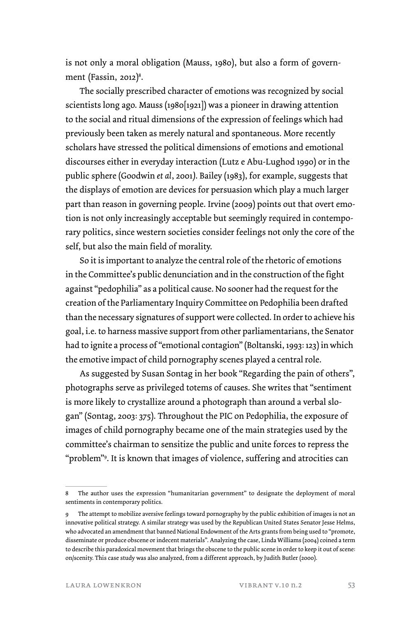is not only a moral obligation (Mauss, 1980), but also a form of government (Fassin, 2012)<sup>8</sup>.

The socially prescribed character of emotions was recognized by social scientists long ago. Mauss (1980[1921]) was a pioneer in drawing attention to the social and ritual dimensions of the expression of feelings which had previously been taken as merely natural and spontaneous. More recently scholars have stressed the political dimensions of emotions and emotional discourses either in everyday interaction (Lutz e Abu-Lughod 1990) or in the public sphere (Goodwin *et al*, 2001*)*. Bailey (1983), for example, suggests that the displays of emotion are devices for persuasion which play a much larger part than reason in governing people. Irvine (2009) points out that overt emotion is not only increasingly acceptable but seemingly required in contemporary politics, since western societies consider feelings not only the core of the self, but also the main field of morality.

So it is important to analyze the central role of the rhetoric of emotions in the Committee's public denunciation and in the construction of the fight against "pedophilia" as a political cause. No sooner had the request for the creation of the Parliamentary Inquiry Committee on Pedophilia been drafted than the necessary signatures of support were collected. In order to achieve his goal, i.e. to harness massive support from other parliamentarians, the Senator had to ignite a process of "emotional contagion" (Boltanski, 1993: 123) in which the emotive impact of child pornography scenes played a central role.

As suggested by Susan Sontag in her book "Regarding the pain of others", photographs serve as privileged totems of causes. She writes that "sentiment is more likely to crystallize around a photograph than around a verbal slogan" (Sontag, 2003: 375). Throughout the PIC on Pedophilia, the exposure of images of child pornography became one of the main strategies used by the committee's chairman to sensitize the public and unite forces to repress the "problem"9 . It is known that images of violence, suffering and atrocities can

<sup>8</sup> The author uses the expression "humanitarian government" to designate the deployment of moral sentiments in contemporary politics.

<sup>9</sup> The attempt to mobilize aversive feelings toward pornography by the public exhibition of images is not an innovative political strategy. A similar strategy was used by the Republican United States Senator Jesse Helms, who advocated an amendment that banned National Endowment of the Arts grants from being used to "promote, disseminate or produce obscene or indecent materials". Analyzing the case, Linda Williams (2004) coined a term to describe this paradoxical movement that brings the obscene to the public scene in order to keep it out of scene: on/scenity. This case study was also analyzed, from a different approach, by Judith Butler (2000).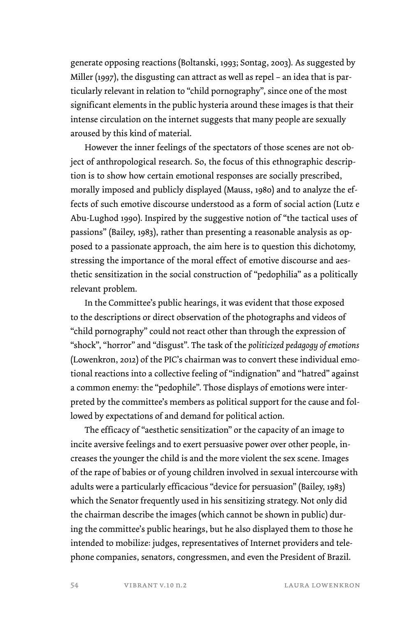generate opposing reactions (Boltanski, 1993; Sontag, 2003). As suggested by Miller (1997), the disgusting can attract as well as repel – an idea that is particularly relevant in relation to "child pornography", since one of the most significant elements in the public hysteria around these images is that their intense circulation on the internet suggests that many people are sexually aroused by this kind of material.

However the inner feelings of the spectators of those scenes are not object of anthropological research. So, the focus of this ethnographic description is to show how certain emotional responses are socially prescribed, morally imposed and publicly displayed (Mauss, 1980) and to analyze the effects of such emotive discourse understood as a form of social action (Lutz e Abu-Lughod 1990). Inspired by the suggestive notion of "the tactical uses of passions" (Bailey, 1983), rather than presenting a reasonable analysis as opposed to a passionate approach, the aim here is to question this dichotomy, stressing the importance of the moral effect of emotive discourse and aesthetic sensitization in the social construction of "pedophilia" as a politically relevant problem.

In the Committee's public hearings, it was evident that those exposed to the descriptions or direct observation of the photographs and videos of "child pornography" could not react other than through the expression of "shock", "horror" and "disgust". The task of the *politicized pedagogy of emotions* (Lowenkron, 2012) of the PIC's chairman was to convert these individual emotional reactions into a collective feeling of "indignation" and "hatred" against a common enemy: the "pedophile". Those displays of emotions were interpreted by the committee's members as political support for the cause and followed by expectations of and demand for political action.

The efficacy of "aesthetic sensitization" or the capacity of an image to incite aversive feelings and to exert persuasive power over other people, increases the younger the child is and the more violent the sex scene. Images of the rape of babies or of young children involved in sexual intercourse with adults were a particularly efficacious "device for persuasion" (Bailey, 1983) which the Senator frequently used in his sensitizing strategy. Not only did the chairman describe the images (which cannot be shown in public) during the committee's public hearings, but he also displayed them to those he intended to mobilize: judges, representatives of Internet providers and telephone companies, senators, congressmen, and even the President of Brazil.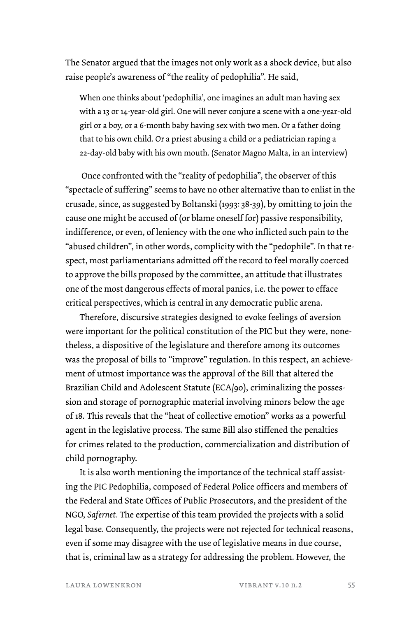The Senator argued that the images not only work as a shock device, but also raise people's awareness of "the reality of pedophilia". He said,

When one thinks about 'pedophilia', one imagines an adult man having sex with a 13 or 14-year-old girl. One will never conjure a scene with a one-year-old girl or a boy, or a 6-month baby having sex with two men. Or a father doing that to his own child. Or a priest abusing a child or a pediatrician raping a 22-day-old baby with his own mouth. (Senator Magno Malta, in an interview)

 Once confronted with the "reality of pedophilia", the observer of this "spectacle of suffering" seems to have no other alternative than to enlist in the crusade, since, as suggested by Boltanski (1993: 38-39), by omitting to join the cause one might be accused of (or blame oneself for) passive responsibility, indifference, or even, of leniency with the one who inflicted such pain to the "abused children", in other words, complicity with the "pedophile". In that respect, most parliamentarians admitted off the record to feel morally coerced to approve the bills proposed by the committee, an attitude that illustrates one of the most dangerous effects of moral panics, i.e. the power to efface critical perspectives, which is central in any democratic public arena.

Therefore, discursive strategies designed to evoke feelings of aversion were important for the political constitution of the PIC but they were, nonetheless, a dispositive of the legislature and therefore among its outcomes was the proposal of bills to "improve" regulation. In this respect, an achievement of utmost importance was the approval of the Bill that altered the Brazilian Child and Adolescent Statute (ECA/90), criminalizing the possession and storage of pornographic material involving minors below the age of 18. This reveals that the "heat of collective emotion" works as a powerful agent in the legislative process. The same Bill also stiffened the penalties for crimes related to the production, commercialization and distribution of child pornography.

It is also worth mentioning the importance of the technical staff assisting the PIC Pedophilia, composed of Federal Police officers and members of the Federal and State Offices of Public Prosecutors, and the president of the NGO, *Safernet.* The expertise of this team provided the projects with a solid legal base. Consequently, the projects were not rejected for technical reasons, even if some may disagree with the use of legislative means in due course, that is, criminal law as a strategy for addressing the problem. However, the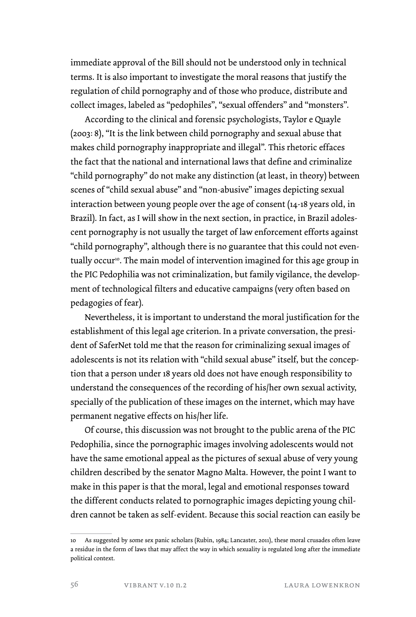immediate approval of the Bill should not be understood only in technical terms. It is also important to investigate the moral reasons that justify the regulation of child pornography and of those who produce, distribute and collect images, labeled as "pedophiles", "sexual offenders" and "monsters".

According to the clinical and forensic psychologists, Taylor e Quayle (2003: 8), "It is the link between child pornography and sexual abuse that makes child pornography inappropriate and illegal". This rhetoric effaces the fact that the national and international laws that define and criminalize "child pornography" do not make any distinction (at least, in theory) between scenes of "child sexual abuse" and "non-abusive" images depicting sexual interaction between young people over the age of consent (14-18 years old, in Brazil). In fact, as I will show in the next section, in practice, in Brazil adolescent pornography is not usually the target of law enforcement efforts against "child pornography", although there is no guarantee that this could not eventually occur<sup>10</sup>. The main model of intervention imagined for this age group in the PIC Pedophilia was not criminalization, but family vigilance, the development of technological filters and educative campaigns (very often based on pedagogies of fear).

Nevertheless, it is important to understand the moral justification for the establishment of this legal age criterion. In a private conversation, the president of SaferNet told me that the reason for criminalizing sexual images of adolescents is not its relation with "child sexual abuse" itself, but the conception that a person under 18 years old does not have enough responsibility to understand the consequences of the recording of his/her own sexual activity, specially of the publication of these images on the internet, which may have permanent negative effects on his/her life.

Of course, this discussion was not brought to the public arena of the PIC Pedophilia, since the pornographic images involving adolescents would not have the same emotional appeal as the pictures of sexual abuse of very young children described by the senator Magno Malta. However, the point I want to make in this paper is that the moral, legal and emotional responses toward the different conducts related to pornographic images depicting young children cannot be taken as self-evident. Because this social reaction can easily be

<sup>10</sup> As suggested by some sex panic scholars (Rubin, 1984; Lancaster, 2011), these moral crusades often leave a residue in the form of laws that may affect the way in which sexuality is regulated long after the immediate political context.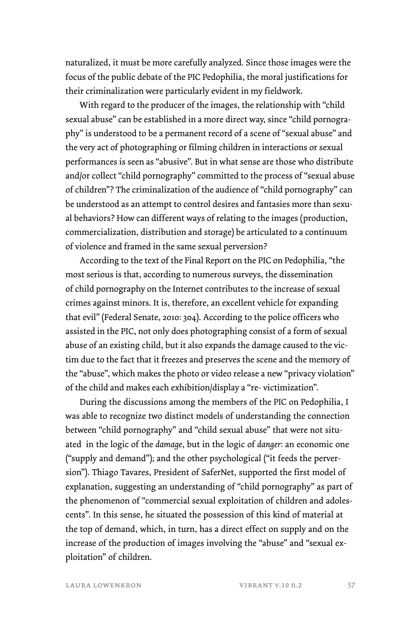naturalized, it must be more carefully analyzed. Since those images were the focus of the public debate of the PIC Pedophilia, the moral justifications for their criminalization were particularly evident in my fieldwork.

With regard to the producer of the images, the relationship with "child sexual abuse" can be established in a more direct way, since "child pornography" is understood to be a permanent record of a scene of "sexual abuse" and the very act of photographing or filming children in interactions or sexual performances is seen as "abusive". But in what sense are those who distribute and/or collect "child pornography" committed to the process of "sexual abuse of children"? The criminalization of the audience of "child pornography" can be understood as an attempt to control desires and fantasies more than sexual behaviors? How can different ways of relating to the images (production, commercialization, distribution and storage) be articulated to a continuum of violence and framed in the same sexual perversion?

According to the text of the Final Report on the PIC on Pedophilia, "the most serious is that, according to numerous surveys, the dissemination of child pornography on the Internet contributes to the increase of sexual crimes against minors. It is, therefore, an excellent vehicle for expanding that evil" (Federal Senate, 2010: 304). According to the police officers who assisted in the PIC, not only does photographing consist of a form of sexual abuse of an existing child, but it also expands the damage caused to the victim due to the fact that it freezes and preserves the scene and the memory of the "abuse", which makes the photo or video release a new "privacy violation" of the child and makes each exhibition/display a "re- victimization".

During the discussions among the members of the PIC on Pedophilia, I was able to recognize two distinct models of understanding the connection between "child pornography" and "child sexual abuse" that were not situated in the logic of the *damage*, but in the logic of *danger*: an economic one ("supply and demand"); and the other psychological ("it feeds the perversion"). Thiago Tavares, President of SaferNet, supported the first model of explanation, suggesting an understanding of "child pornography" as part of the phenomenon of "commercial sexual exploitation of children and adolescents". In this sense, he situated the possession of this kind of material at the top of demand, which, in turn, has a direct effect on supply and on the increase of the production of images involving the "abuse" and "sexual exploitation" of children.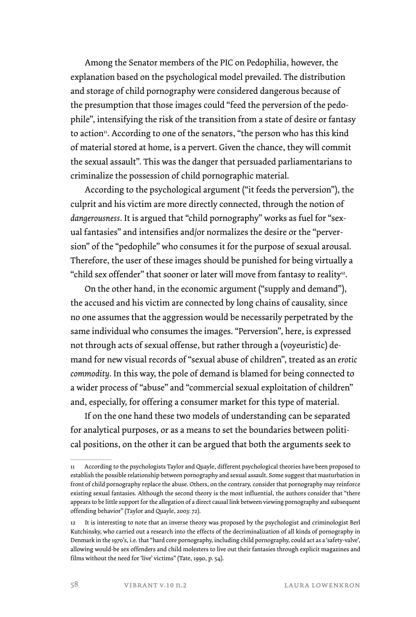Among the Senator members of the PIC on Pedophilia, however, the explanation based on the psychological model prevailed. The distribution and storage of child pornography were considered dangerous because of the presumption that those images could "feed the perversion of the pedophile", intensifying the risk of the transition from a state of desire or fantasy to action<sup>11</sup>. According to one of the senators, "the person who has this kind of material stored at home, is a pervert. Given the chance, they will commit the sexual assault". This was the danger that persuaded parliamentarians to criminalize the possession of child pornographic material.

According to the psychological argument ("it feeds the perversion"), the culprit and his victim are more directly connected, through the notion of *dangerousness*. It is argued that "child pornography" works as fuel for "sexual fantasies" and intensifies and/or normalizes the desire or the "perversion" of the "pedophile" who consumes it for the purpose of sexual arousal. Therefore, the user of these images should be punished for being virtually a "child sex offender" that sooner or later will move from fantasy to reality<sup>12</sup>.

On the other hand, in the economic argument ("supply and demand"), the accused and his victim are connected by long chains of causality, since no one assumes that the aggression would be necessarily perpetrated by the same individual who consumes the images. "Perversion", here, is expressed not through acts of sexual offense, but rather through a (voyeuristic) demand for new visual records of "sexual abuse of children", treated as an *erotic commodity*. In this way, the pole of demand is blamed for being connected to a wider process of "abuse" and "commercial sexual exploitation of children" and, especially, for offering a consumer market for this type of material.

If on the one hand these two models of understanding can be separated for analytical purposes, or as a means to set the boundaries between political positions, on the other it can be argued that both the arguments seek to

<sup>11</sup> According to the psychologists Taylor and Quayle, different psychological theories have been proposed to establish the possible relationship between pornography and sexual assault. Some suggest that masturbation in front of child pornography replace the abuse. Others, on the contrary, consider that pornography may reinforce existing sexual fantasies. Although the second theory is the most influential, the authors consider that "there appears to be little support for the allegation of a direct causal link between viewing pornography and subsequent offending behavior" (Taylor and Quayle, 2003: 72).

<sup>12</sup> It is interesting to note that an inverse theory was proposed by the psychologist and criminologist Berl Kutchinsky, who carried out a research into the effects of the decriminalization of all kinds of pornography in Denmark in the 1970's, i.e. that "hard core pornography, including child pornography, could act as a 'safety-valve', allowing would-be sex offenders and child molesters to live out their fantasies through explicit magazines and films without the need for 'live' victims" (Tate, 1990, p. 54).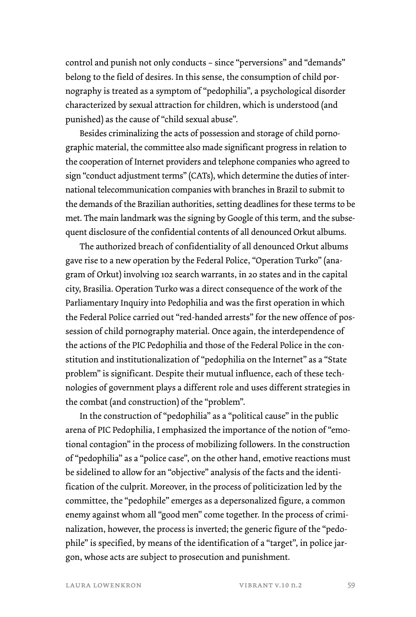control and punish not only conducts – since "perversions" and "demands" belong to the field of desires. In this sense, the consumption of child pornography is treated as a symptom of "pedophilia", a psychological disorder characterized by sexual attraction for children, which is understood (and punished) as the cause of "child sexual abuse".

Besides criminalizing the acts of possession and storage of child pornographic material, the committee also made significant progress in relation to the cooperation of Internet providers and telephone companies who agreed to sign "conduct adjustment terms" (CATs), which determine the duties of international telecommunication companies with branches in Brazil to submit to the demands of the Brazilian authorities, setting deadlines for these terms to be met. The main landmark was the signing by Google of this term, and the subsequent disclosure of the confidential contents of all denounced Orkut albums.

The authorized breach of confidentiality of all denounced Orkut albums gave rise to a new operation by the Federal Police, "Operation Turko" (anagram of Orkut) involving 102 search warrants, in 20 states and in the capital city, Brasilia. Operation Turko was a direct consequence of the work of the Parliamentary Inquiry into Pedophilia and was the first operation in which the Federal Police carried out "red-handed arrests" for the new offence of possession of child pornography material. Once again, the interdependence of the actions of the PIC Pedophilia and those of the Federal Police in the constitution and institutionalization of "pedophilia on the Internet" as a "State problem" is significant. Despite their mutual influence, each of these technologies of government plays a different role and uses different strategies in the combat (and construction) of the "problem".

In the construction of "pedophilia" as a "political cause" in the public arena of PIC Pedophilia, I emphasized the importance of the notion of "emotional contagion" in the process of mobilizing followers. In the construction of "pedophilia" as a "police case", on the other hand, emotive reactions must be sidelined to allow for an "objective" analysis of the facts and the identification of the culprit. Moreover, in the process of politicization led by the committee, the "pedophile" emerges as a depersonalized figure, a common enemy against whom all "good men" come together. In the process of criminalization, however, the process is inverted; the generic figure of the "pedophile" is specified, by means of the identification of a "target", in police jargon, whose acts are subject to prosecution and punishment.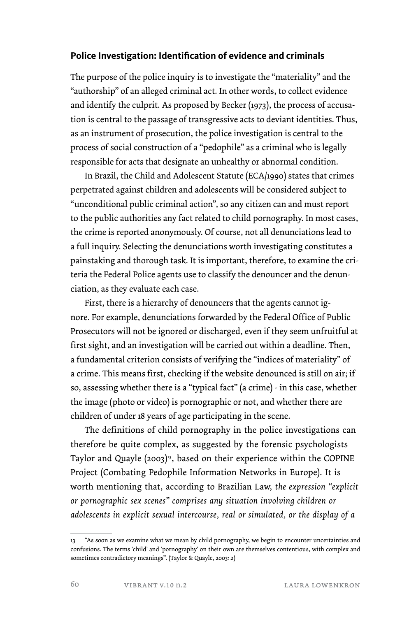#### **Police Investigation: Identification of evidence and criminals**

The purpose of the police inquiry is to investigate the "materiality" and the "authorship" of an alleged criminal act. In other words, to collect evidence and identify the culprit. As proposed by Becker (1973), the process of accusation is central to the passage of transgressive acts to deviant identities. Thus, as an instrument of prosecution, the police investigation is central to the process of social construction of a "pedophile" as a criminal who is legally responsible for acts that designate an unhealthy or abnormal condition.

In Brazil, the Child and Adolescent Statute (ECA/1990) states that crimes perpetrated against children and adolescents will be considered subject to "unconditional public criminal action", so any citizen can and must report to the public authorities any fact related to child pornography. In most cases, the crime is reported anonymously. Of course, not all denunciations lead to a full inquiry. Selecting the denunciations worth investigating constitutes a painstaking and thorough task. It is important, therefore, to examine the criteria the Federal Police agents use to classify the denouncer and the denunciation, as they evaluate each case.

First, there is a hierarchy of denouncers that the agents cannot ignore. For example, denunciations forwarded by the Federal Office of Public Prosecutors will not be ignored or discharged, even if they seem unfruitful at first sight, and an investigation will be carried out within a deadline. Then, a fundamental criterion consists of verifying the "indices of materiality" of a crime. This means first, checking if the website denounced is still on air; if so, assessing whether there is a "typical fact" (a crime) - in this case, whether the image (photo or video) is pornographic or not, and whether there are children of under 18 years of age participating in the scene.

The definitions of child pornography in the police investigations can therefore be quite complex, as suggested by the forensic psychologists Taylor and Quayle  $(2003)^{13}$ , based on their experience within the COPINE Project (Combating Pedophile Information Networks in Europe). It is worth mentioning that, according to Brazilian Law, *the expression "explicit or pornographic sex scenes" comprises any situation involving children or adolescents in explicit sexual intercourse, real or simulated, or the display of a* 

<sup>13 &</sup>quot;As soon as we examine what we mean by child pornography, we begin to encounter uncertainties and confusions. The terms 'child' and 'pornography' on their own are themselves contentious, with complex and sometimes contradictory meanings". (Taylor & Quayle, 2003: 2)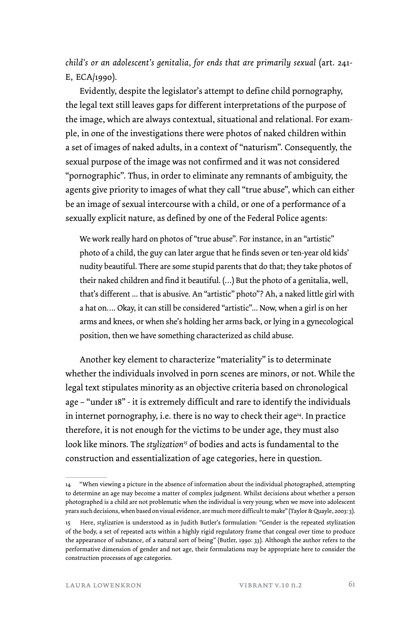*child's or an adolescent's genitalia, for ends that are primarily sexual* (art. 241- E, ECA/1990).

Evidently, despite the legislator's attempt to define child pornography, the legal text still leaves gaps for different interpretations of the purpose of the image, which are always contextual, situational and relational. For example, in one of the investigations there were photos of naked children within a set of images of naked adults, in a context of "naturism". Consequently, the sexual purpose of the image was not confirmed and it was not considered "pornographic". Thus, in order to eliminate any remnants of ambiguity, the agents give priority to images of what they call "true abuse", which can either be an image of sexual intercourse with a child, or one of a performance of a sexually explicit nature, as defined by one of the Federal Police agents:

We work really hard on photos of "true abuse". For instance, in an "artistic" photo of a child, the guy can later argue that he finds seven or ten-year old kids' nudity beautiful. There are some stupid parents that do that; they take photos of their naked children and find it beautiful. (…) But the photo of a genitalia, well, that's different ... that is abusive. An "artistic" photo"? Ah, a naked little girl with a hat on…. Okay, it can still be considered "artistic"... Now, when a girl is on her arms and knees, or when she's holding her arms back, or lying in a gynecological position, then we have something characterized as child abuse.

Another key element to characterize "materiality" is to determinate whether the individuals involved in porn scenes are minors, or not. While the legal text stipulates minority as an objective criteria based on chronological age – "under 18" - it is extremely difficult and rare to identify the individuals in internet pornography, i.e. there is no way to check their age<sup>14</sup>. In practice therefore, it is not enough for the victims to be under age, they must also look like minors. The *stylization<sup>15</sup>* of bodies and acts is fundamental to the construction and essentialization of age categories, here in question.

<sup>14 &</sup>quot;When viewing a picture in the absence of information about the individual photographed, attempting to determine an age may become a matter of complex judgment. Whilst decisions about whether a person photographed is a child are not problematic when the individual is very young; when we move into adolescent years such decisions, when based on visual evidence, are much more difficult to make" (Taylor & Quayle, 2003: 3).

<sup>15</sup> Here, *stylization* is understood as in Judith Butler's formulation: "Gender is the repeated stylization of the body, a set of repeated acts within a highly rigid regulatory frame that congeal over time to produce the appearance of substance, of a natural sort of being" (Butler, 1990: 33). Although the author refers to the performative dimension of gender and not age, their formulations may be appropriate here to consider the construction processes of age categories.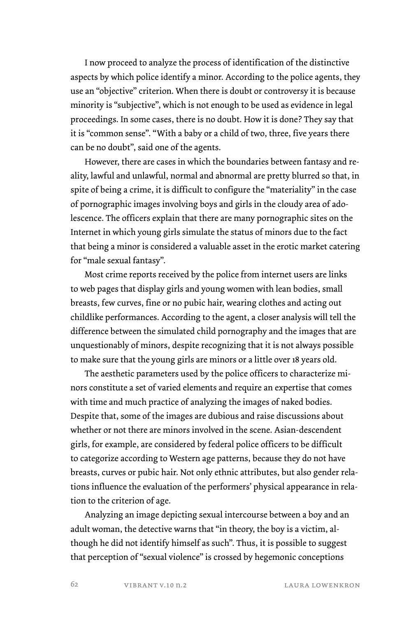I now proceed to analyze the process of identification of the distinctive aspects by which police identify a minor. According to the police agents, they use an "objective" criterion. When there is doubt or controversy it is because minority is "subjective", which is not enough to be used as evidence in legal proceedings. In some cases, there is no doubt. How it is done? They say that it is "common sense". "With a baby or a child of two, three, five years there can be no doubt", said one of the agents.

However, there are cases in which the boundaries between fantasy and reality, lawful and unlawful, normal and abnormal are pretty blurred so that, in spite of being a crime, it is difficult to configure the "materiality" in the case of pornographic images involving boys and girls in the cloudy area of adolescence. The officers explain that there are many pornographic sites on the Internet in which young girls simulate the status of minors due to the fact that being a minor is considered a valuable asset in the erotic market catering for "male sexual fantasy".

Most crime reports received by the police from internet users are links to web pages that display girls and young women with lean bodies, small breasts, few curves, fine or no pubic hair, wearing clothes and acting out childlike performances. According to the agent, a closer analysis will tell the difference between the simulated child pornography and the images that are unquestionably of minors, despite recognizing that it is not always possible to make sure that the young girls are minors or a little over 18 years old.

The aesthetic parameters used by the police officers to characterize minors constitute a set of varied elements and require an expertise that comes with time and much practice of analyzing the images of naked bodies. Despite that, some of the images are dubious and raise discussions about whether or not there are minors involved in the scene. Asian-descendent girls, for example, are considered by federal police officers to be difficult to categorize according to Western age patterns, because they do not have breasts, curves or pubic hair. Not only ethnic attributes, but also gender relations influence the evaluation of the performers' physical appearance in relation to the criterion of age.

Analyzing an image depicting sexual intercourse between a boy and an adult woman, the detective warns that "in theory, the boy is a victim, although he did not identify himself as such". Thus, it is possible to suggest that perception of "sexual violence" is crossed by hegemonic conceptions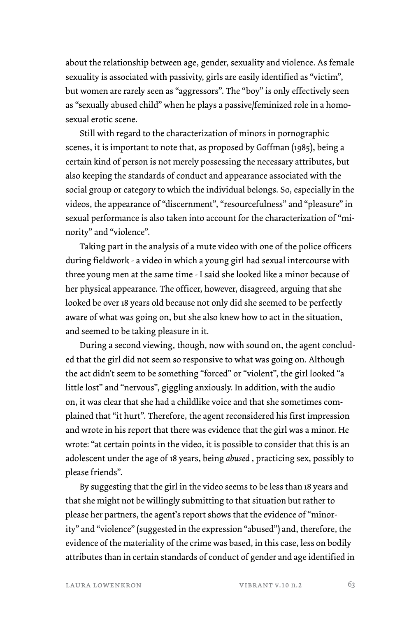about the relationship between age, gender, sexuality and violence. As female sexuality is associated with passivity, girls are easily identified as "victim", but women are rarely seen as "aggressors". The "boy" is only effectively seen as "sexually abused child" when he plays a passive/feminized role in a homosexual erotic scene.

Still with regard to the characterization of minors in pornographic scenes, it is important to note that, as proposed by Goffman (1985), being a certain kind of person is not merely possessing the necessary attributes, but also keeping the standards of conduct and appearance associated with the social group or category to which the individual belongs. So, especially in the videos, the appearance of "discernment", "resourcefulness" and "pleasure" in sexual performance is also taken into account for the characterization of "minority" and "violence".

Taking part in the analysis of a mute video with one of the police officers during fieldwork - a video in which a young girl had sexual intercourse with three young men at the same time - I said she looked like a minor because of her physical appearance. The officer, however, disagreed, arguing that she looked be over 18 years old because not only did she seemed to be perfectly aware of what was going on, but she also knew how to act in the situation, and seemed to be taking pleasure in it.

During a second viewing, though, now with sound on, the agent concluded that the girl did not seem so responsive to what was going on. Although the act didn't seem to be something "forced" or "violent", the girl looked "a little lost" and "nervous", giggling anxiously. In addition, with the audio on, it was clear that she had a childlike voice and that she sometimes complained that "it hurt". Therefore, the agent reconsidered his first impression and wrote in his report that there was evidence that the girl was a minor. He wrote: "at certain points in the video, it is possible to consider that this is an adolescent under the age of 18 years, being *abused* , practicing sex, possibly to please friends".

By suggesting that the girl in the video seems to be less than 18 years and that she might not be willingly submitting to that situation but rather to please her partners, the agent's report shows that the evidence of "minority" and "violence" (suggested in the expression "abused") and, therefore, the evidence of the materiality of the crime was based, in this case, less on bodily attributes than in certain standards of conduct of gender and age identified in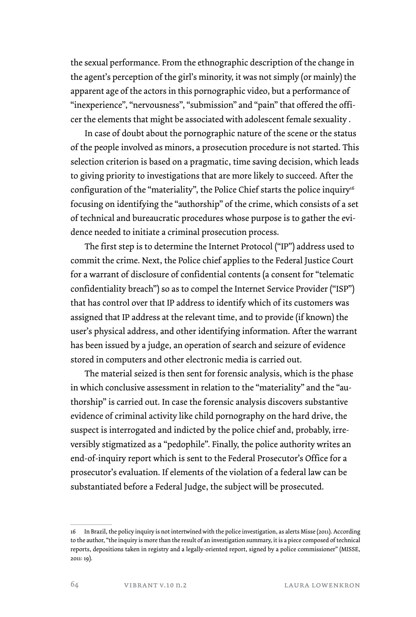the sexual performance. From the ethnographic description of the change in the agent's perception of the girl's minority, it was not simply (or mainly) the apparent age of the actors in this pornographic video, but a performance of "inexperience", "nervousness", "submission" and "pain" that offered the officer the elements that might be associated with adolescent female sexuality .

In case of doubt about the pornographic nature of the scene or the status of the people involved as minors, a prosecution procedure is not started. This selection criterion is based on a pragmatic, time saving decision, which leads to giving priority to investigations that are more likely to succeed. After the configuration of the "materiality", the Police Chief starts the police inquiry<sup>16</sup> focusing on identifying the "authorship" of the crime, which consists of a set of technical and bureaucratic procedures whose purpose is to gather the evidence needed to initiate a criminal prosecution process.

The first step is to determine the Internet Protocol ("IP") address used to commit the crime. Next, the Police chief applies to the Federal Justice Court for a warrant of disclosure of confidential contents (a consent for "telematic confidentiality breach") so as to compel the Internet Service Provider ("ISP") that has control over that IP address to identify which of its customers was assigned that IP address at the relevant time, and to provide (if known) the user's physical address, and other identifying information. After the warrant has been issued by a judge, an operation of search and seizure of evidence stored in computers and other electronic media is carried out.

The material seized is then sent for forensic analysis, which is the phase in which conclusive assessment in relation to the "materiality" and the "authorship" is carried out. In case the forensic analysis discovers substantive evidence of criminal activity like child pornography on the hard drive, the suspect is interrogated and indicted by the police chief and, probably, irreversibly stigmatized as a "pedophile". Finally, the police authority writes an end-of-inquiry report which is sent to the Federal Prosecutor's Office for a prosecutor's evaluation. If elements of the violation of a federal law can be substantiated before a Federal Judge, the subject will be prosecuted.

<sup>16</sup> In Brazil, the policy inquiry is not intertwined with the police investigation, as alerts Misse (2011). According to the author, "the inquiry is more than the result of an investigation summary, it is a piece composed of technical reports, depositions taken in registry and a legally-oriented report, signed by a police commissioner" (MISSE, 2011: 19).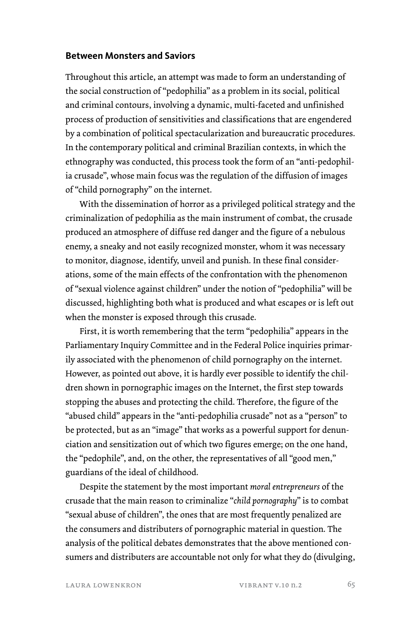#### **Between Monsters and Saviors**

Throughout this article, an attempt was made to form an understanding of the social construction of "pedophilia" as a problem in its social, political and criminal contours, involving a dynamic, multi-faceted and unfinished process of production of sensitivities and classifications that are engendered by a combination of political spectacularization and bureaucratic procedures. In the contemporary political and criminal Brazilian contexts, in which the ethnography was conducted, this process took the form of an "anti-pedophilia crusade", whose main focus was the regulation of the diffusion of images of "child pornography" on the internet.

With the dissemination of horror as a privileged political strategy and the criminalization of pedophilia as the main instrument of combat, the crusade produced an atmosphere of diffuse red danger and the figure of a nebulous enemy, a sneaky and not easily recognized monster, whom it was necessary to monitor, diagnose, identify, unveil and punish. In these final considerations, some of the main effects of the confrontation with the phenomenon of "sexual violence against children" under the notion of "pedophilia" will be discussed, highlighting both what is produced and what escapes or is left out when the monster is exposed through this crusade.

First, it is worth remembering that the term "pedophilia" appears in the Parliamentary Inquiry Committee and in the Federal Police inquiries primarily associated with the phenomenon of child pornography on the internet. However, as pointed out above, it is hardly ever possible to identify the children shown in pornographic images on the Internet, the first step towards stopping the abuses and protecting the child. Therefore, the figure of the "abused child" appears in the "anti-pedophilia crusade" not as a "person" to be protected, but as an "image" that works as a powerful support for denunciation and sensitization out of which two figures emerge; on the one hand, the "pedophile", and, on the other, the representatives of all "good men," guardians of the ideal of childhood.

Despite the statement by the most important *moral entrepreneurs* of the crusade that the main reason to criminalize "*child pornography*" is to combat "sexual abuse of children", the ones that are most frequently penalized are the consumers and distributers of pornographic material in question. The analysis of the political debates demonstrates that the above mentioned consumers and distributers are accountable not only for what they do (divulging,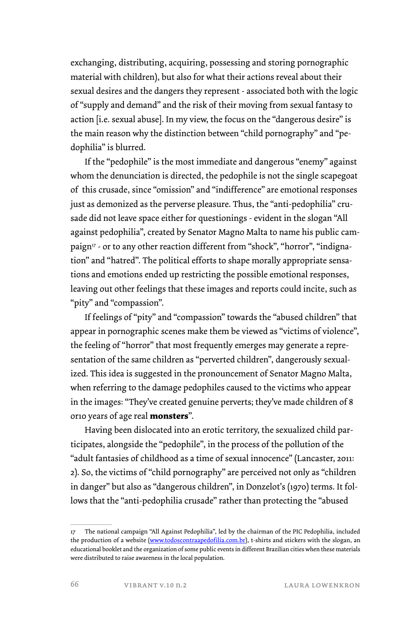exchanging, distributing, acquiring, possessing and storing pornographic material with children), but also for what their actions reveal about their sexual desires and the dangers they represent - associated both with the logic of "supply and demand" and the risk of their moving from sexual fantasy to action [i.e. sexual abuse]. In my view, the focus on the "dangerous desire" is the main reason why the distinction between "child pornography" and "pedophilia" is blurred.

If the "pedophile" is the most immediate and dangerous "enemy" against whom the denunciation is directed, the pedophile is not the single scapegoat of this crusade, since "omission" and "indifference" are emotional responses just as demonized as the perverse pleasure. Thus, the "anti-pedophilia" crusade did not leave space either for questionings - evident in the slogan "All against pedophilia", created by Senator Magno Malta to name his public campaign<sup>17</sup> - or to any other reaction different from "shock", "horror", "indignation" and "hatred". The political efforts to shape morally appropriate sensations and emotions ended up restricting the possible emotional responses, leaving out other feelings that these images and reports could incite, such as "pity" and "compassion".

If feelings of "pity" and "compassion" towards the "abused children" that appear in pornographic scenes make them be viewed as "victims of violence", the feeling of "horror" that most frequently emerges may generate a representation of the same children as "perverted children", dangerously sexualized. This idea is suggested in the pronouncement of Senator Magno Malta, when referring to the damage pedophiles caused to the victims who appear in the images: "They've created genuine perverts; they've made children of 8 or10 years of age real **monsters**".

Having been dislocated into an erotic territory, the sexualized child participates, alongside the "pedophile", in the process of the pollution of the "adult fantasies of childhood as a time of sexual innocence" (Lancaster, 2011: 2). So, the victims of "child pornography" are perceived not only as "children in danger" but also as "dangerous children", in Donzelot's (1970) terms. It follows that the "anti-pedophilia crusade" rather than protecting the "abused

<sup>17</sup> The national campaign "All Against Pedophilia", led by the chairman of the PIC Pedophilia, included the production of a website (www.todoscontraapedofilia.com.br), t-shirts and stickers with the slogan, an educational booklet and the organization of some public events in different Brazilian cities when these materials were distributed to raise awareness in the local population.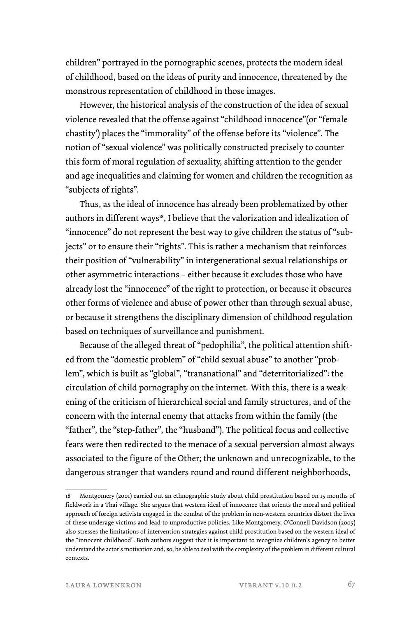children" portrayed in the pornographic scenes, protects the modern ideal of childhood, based on the ideas of purity and innocence, threatened by the monstrous representation of childhood in those images.

However, the historical analysis of the construction of the idea of sexual violence revealed that the offense against "childhood innocence"(or "female chastity') places the "immorality" of the offense before its "violence". The notion of "sexual violence" was politically constructed precisely to counter this form of moral regulation of sexuality, shifting attention to the gender and age inequalities and claiming for women and children the recognition as "subjects of rights".

Thus, as the ideal of innocence has already been problematized by other authors in different ways<sup>18</sup>, I believe that the valorization and idealization of "innocence" do not represent the best way to give children the status of "subjects" or to ensure their "rights". This is rather a mechanism that reinforces their position of "vulnerability" in intergenerational sexual relationships or other asymmetric interactions – either because it excludes those who have already lost the "innocence" of the right to protection, or because it obscures other forms of violence and abuse of power other than through sexual abuse, or because it strengthens the disciplinary dimension of childhood regulation based on techniques of surveillance and punishment.

Because of the alleged threat of "pedophilia", the political attention shifted from the "domestic problem" of "child sexual abuse" to another "problem", which is built as "global", "transnational" and "deterritorialized": the circulation of child pornography on the internet. With this, there is a weakening of the criticism of hierarchical social and family structures, and of the concern with the internal enemy that attacks from within the family (the "father", the "step-father", the "husband"). The political focus and collective fears were then redirected to the menace of a sexual perversion almost always associated to the figure of the Other; the unknown and unrecognizable, to the dangerous stranger that wanders round and round different neighborhoods,

<sup>18</sup> Montgomery (2001) carried out an ethnographic study about child prostitution based on 15 months of fieldwork in a Thai village. She argues that western ideal of innocence that orients the moral and political approach of foreign activists engaged in the combat of the problem in non-western countries distort the lives of these underage victims and lead to unproductive policies. Like Montgomery, O'Connell Davidson (2005) also stresses the limitations of intervention strategies against child prostitution based on the western ideal of the "innocent childhood". Both authors suggest that it is important to recognize children's agency to better understand the actor's motivation and, so, be able to deal with the complexity of the problem in different cultural contexts.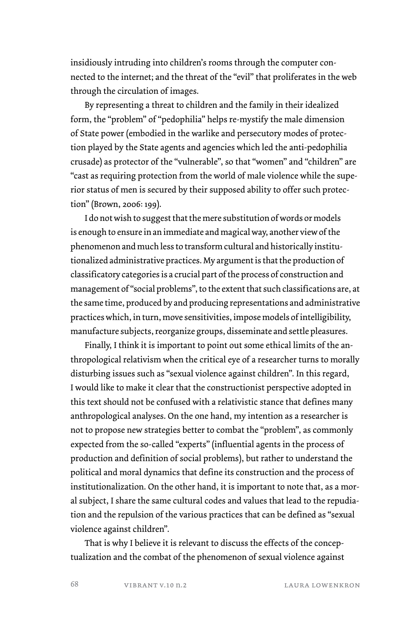insidiously intruding into children's rooms through the computer connected to the internet; and the threat of the "evil" that proliferates in the web through the circulation of images.

By representing a threat to children and the family in their idealized form, the "problem" of "pedophilia" helps re-mystify the male dimension of State power (embodied in the warlike and persecutory modes of protection played by the State agents and agencies which led the anti-pedophilia crusade) as protector of the "vulnerable", so that "women" and "children" are "cast as requiring protection from the world of male violence while the superior status of men is secured by their supposed ability to offer such protection" (Brown, 2006: 199).

I do not wish to suggest that the mere substitution of words or models is enough to ensure in an immediate and magical way, another view of the phenomenon and much less to transform cultural and historically institutionalized administrative practices. My argument is that the production of classificatory categories is a crucial part of the process of construction and management of "social problems", to the extent that such classifications are, at the same time, produced by and producing representations and administrative practices which, in turn, move sensitivities, impose models of intelligibility, manufacture subjects, reorganize groups, disseminate and settle pleasures.

Finally, I think it is important to point out some ethical limits of the anthropological relativism when the critical eye of a researcher turns to morally disturbing issues such as "sexual violence against children". In this regard, I would like to make it clear that the constructionist perspective adopted in this text should not be confused with a relativistic stance that defines many anthropological analyses. On the one hand, my intention as a researcher is not to propose new strategies better to combat the "problem", as commonly expected from the so-called "experts" (influential agents in the process of production and definition of social problems), but rather to understand the political and moral dynamics that define its construction and the process of institutionalization. On the other hand, it is important to note that, as a moral subject, I share the same cultural codes and values that lead to the repudiation and the repulsion of the various practices that can be defined as "sexual violence against children".

That is why I believe it is relevant to discuss the effects of the conceptualization and the combat of the phenomenon of sexual violence against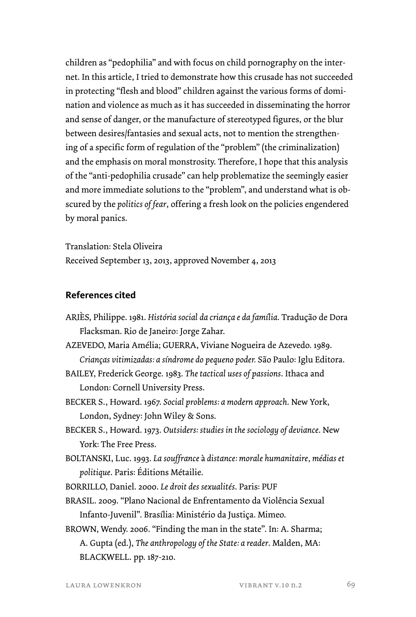children as "pedophilia" and with focus on child pornography on the internet. In this article, I tried to demonstrate how this crusade has not succeeded in protecting "flesh and blood" children against the various forms of domination and violence as much as it has succeeded in disseminating the horror and sense of danger, or the manufacture of stereotyped figures, or the blur between desires/fantasies and sexual acts, not to mention the strengthening of a specific form of regulation of the "problem" (the criminalization) and the emphasis on moral monstrosity. Therefore, I hope that this analysis of the "anti-pedophilia crusade" can help problematize the seemingly easier and more immediate solutions to the "problem", and understand what is obscured by the *politics of fear*, offering a fresh look on the policies engendered by moral panics.

Translation: Stela Oliveira Received September 13, 2013, approved November 4, 2013

#### **References cited**

- ARIÈS, Philippe. 1981. *História social da criança e da família*. Tradução de Dora Flacksman. Rio de Janeiro: Jorge Zahar.
- AZEVEDO, Maria Amélia; GUERRA, Viviane Nogueira de Azevedo. 1989. *Crianças vitimizadas: a síndrome do pequeno poder.* São Paulo: Iglu Editora.
- BAILEY, Frederick George. 1983. *The tactical uses of passions*. Ithaca and London: Cornell University Press.
- BECKER S., Howard. 1967. *Social problems: a modern approach*. New York, London, Sydney: John Wiley & Sons.
- BECKER S., Howard. 1973. *Outsiders: studies in the sociology of deviance*. New York: The Free Press.
- BOLTANSKI, Luc. 1993. *La souffrance* à *distance: morale humanitaire, médias et politique*. Paris: Éditions Métailie.
- BORRILLO, Daniel. 2000. *Le droit des sexualités*. Paris: PUF
- BRASIL. 2009. "Plano Nacional de Enfrentamento da Violência Sexual Infanto-Juvenil". Brasília: Ministério da Justiça. Mimeo.
- BROWN, Wendy. 2006. "Finding the man in the state". In: A. Sharma; A. Gupta (ed.), *The anthropology of the State: a reader*. Malden, MA: BLACKWELL. pp. 187-210.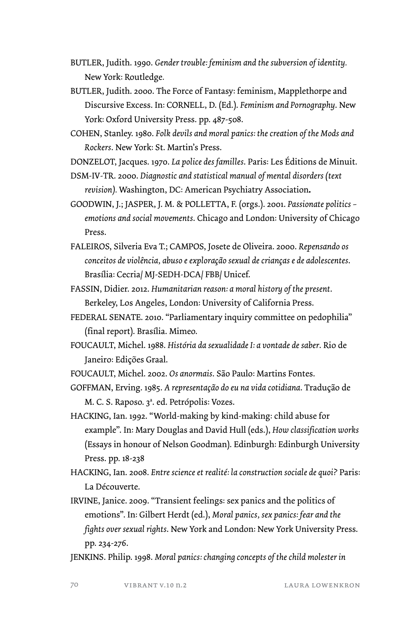- BUTLER, Judith. 1990. *Gender trouble: feminism and the subversion of identity.*  New York: Routledge*.*
- BUTLER, Judith. 2000. The Force of Fantasy: feminism, Mapplethorpe and Discursive Excess. In: CORNELL, D. (Ed.). *Feminism and Pornography*. New York: Oxford University Press. pp. 487-508.
- COHEN, Stanley. 1980. *Folk devils and moral panics: the creation of the Mods and Rockers*. New York: St. Martin's Press.

DONZELOT, Jacques. 1970. *La police des familles*. Paris: Les Éditions de Minuit.

DSM-IV-TR. 2000. *Diagnostic and statistical manual of mental disorders (text revision).* Washington, DC: American Psychiatry Association**.** 

GOODWIN, J.; JASPER, J. M. & POLLETTA, F. (orgs.). 2001. *Passionate politics – emotions and social movements*. Chicago and London: University of Chicago Press.

FALEIROS, Silveria Eva T.; CAMPOS, Josete de Oliveira. 2000. *Repensando os conceitos de violência, abuso e exploração sexual de crianças e de adolescentes*. Brasília: Cecria/ MJ-SEDH-DCA/ FBB/ Unicef.

FASSIN, Didier. 2012. *Humanitarian reason: a moral history of the present*. Berkeley, Los Angeles, London: University of California Press.

- FEDERAL SENATE. 2010. "Parliamentary inquiry committee on pedophilia" (final report). Brasília. Mimeo.
- FOUCAULT, Michel. 1988. *História da sexualidade I: a vontade de saber*. Rio de Janeiro: Edições Graal.

FOUCAULT, Michel. 2002. *Os anormais*. São Paulo: Martins Fontes.

GOFFMAN, Erving. 1985. *A representação do eu na vida cotidiana*. Tradução de M. C. S. Raposo. 3ª. ed. Petrópolis: Vozes.

- HACKING, Ian. 1992. "World-making by kind-making: child abuse for example". In: Mary Douglas and David Hull (eds.), *How classification works* (Essays in honour of Nelson Goodman). Edinburgh: Edinburgh University Press. pp. 18-238
- HACKING, Ian. 2008. *Entre science et realité: la construction sociale de quoi?* Paris: La Découverte.
- IRVINE, Janice. 2009. "Transient feelings: sex panics and the politics of emotions". In: Gilbert Herdt (ed.), *Moral panics, sex panics: fear and the fights over sexual rights*. New York and London: New York University Press. pp. 234-276.

JENKINS. Philip. 1998. *Moral panics: changing concepts of the child molester in*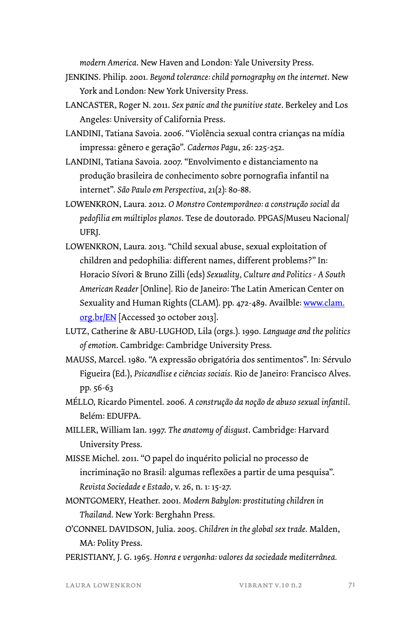*modern America*. New Haven and London: Yale University Press.

- JENKINS. Philip. 2001. *Beyond tolerance: child pornography on the internet*. New York and London: New York University Press.
- LANCASTER, Roger N. 2011. *Sex panic and the punitive state*. Berkeley and Los Angeles: University of California Press.
- LANDINI, Tatiana Savoia. 2006. "Violência sexual contra crianças na mídia impressa: gênero e geração". *Cadernos Pagu*, 26: 225-252.
- LANDINI, Tatiana Savoia. 2007. "Envolvimento e distanciamento na produção brasileira de conhecimento sobre pornografia infantil na internet". *São Paulo em Perspectiva*, 21(2): 80-88.
- LOWENKRON, Laura*.* 2012. *O Monstro Contemporâneo: a construção social da pedofilia em múltiplos planos*. Tese de doutorado. PPGAS/Museu Nacional/ UFRJ.
- LOWENKRON, Laura*.* 2013. "Child sexual abuse, sexual exploitation of children and pedophilia: different names, different problems?" In: Horacio Sívori & Bruno Zilli (eds) *Sexuality, Culture and Politics - A South American Reader* [Online]. Rio de Janeiro: The Latin American Center on Sexuality and Human Rights (CLAM). pp. 472-489. Availble: www.clam. org.br/EN [Accessed 30 october 2013].
- LUTZ, Catherine & ABU-LUGHOD, Lila (orgs.). 1990. *Language and the politics of emotion*. Cambridge: Cambridge University Press.
- MAUSS, Marcel. 1980. "A expressão obrigatória dos sentimentos". In: Sérvulo Figueira (Ed.), *Psicanálise e ciências sociais*. Rio de Janeiro: Francisco Alves. pp. 56-63
- MÉLLO, Ricardo Pimentel. 2006. *A construção da noção de abuso sexual infantil*. Belém: EDUFPA.
- MILLER, William Ian. 1997. *The anatomy of disgust*. Cambridge: Harvard University Press.
- MISSE Michel. 2011. "O papel do inquérito policial no processo de incriminação no Brasil: algumas reflexões a partir de uma pesquisa". *Revista Sociedade e Estado*, v. 26, n. 1: 15-27.
- MONTGOMERY, Heather. 2001. *Modern Babylon: prostituting children in Thailand*. New York: Berghahn Press.
- O'CONNEL DAVIDSON, Julia. 2005. *Children in the global sex trade*. Malden, MA: Polity Press.
- PERISTIANY, J. G. 1965. *Honra e vergonha: valores da sociedade mediterrânea.*